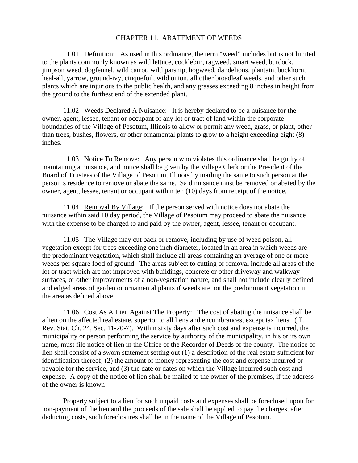## CHAPTER 11. ABATEMENT OF WEEDS

 11.01 Definition: As used in this ordinance, the term "weed" includes but is not limited to the plants commonly known as wild lettuce, cocklebur, ragweed, smart weed, burdock, jimpson weed, dogfennel, wild carrot, wild parsnip, hogweed, dandelions, plantain, buckhorn, heal-all, yarrow, ground-ivy, cinquefoil, wild onion, all other broadleaf weeds, and other such plants which are injurious to the public health, and any grasses exceeding 8 inches in height from the ground to the furthest end of the extended plant.

 11.02 Weeds Declared A Nuisance: It is hereby declared to be a nuisance for the owner, agent, lessee, tenant or occupant of any lot or tract of land within the corporate boundaries of the Village of Pesotum, Illinois to allow or permit any weed, grass, or plant, other than trees, bushes, flowers, or other ornamental plants to grow to a height exceeding eight (8) inches.

 11.03 Notice To Remove: Any person who violates this ordinance shall be guilty of maintaining a nuisance, and notice shall be given by the Village Clerk or the President of the Board of Trustees of the Village of Pesotum, Illinois by mailing the same to such person at the person's residence to remove or abate the same. Said nuisance must be removed or abated by the owner, agent, lessee, tenant or occupant within ten (10) days from receipt of the notice.

11.04 Removal By Village: If the person served with notice does not abate the nuisance within said 10 day period, the Village of Pesotum may proceed to abate the nuisance with the expense to be charged to and paid by the owner, agent, lessee, tenant or occupant.

11.05 The Village may cut back or remove, including by use of weed poison, all vegetation except for trees exceeding one inch diameter, located in an area in which weeds are the predominant vegetation, which shall include all areas containing an average of one or more weeds per square food of ground. The areas subject to cutting or removal include all areas of the lot or tract which are not improved with buildings, concrete or other driveway and walkway surfaces, or other improvements of a non-vegetation nature, and shall not include clearly defined and edged areas of garden or ornamental plants if weeds are not the predominant vegetation in the area as defined above.

11.06 Cost As A Lien Against The Property: The cost of abating the nuisance shall be a lien on the affected real estate, superior to all liens and encumbrances, except tax liens. (Ill. Rev. Stat. Ch. 24, Sec. 11-20-7). Within sixty days after such cost and expense is incurred, the municipality or person performing the service by authority of the municipality, in his or its own name, must file notice of lien in the Office of the Recorder of Deeds of the county. The notice of lien shall consist of a sworn statement setting out (1) a description of the real estate sufficient for identification thereof, (2) the amount of money representing the cost and expense incurred or payable for the service, and (3) the date or dates on which the Village incurred such cost and expense. A copy of the notice of lien shall be mailed to the owner of the premises, if the address of the owner is known

Property subject to a lien for such unpaid costs and expenses shall be foreclosed upon for non-payment of the lien and the proceeds of the sale shall be applied to pay the charges, after deducting costs, such foreclosures shall be in the name of the Village of Pesotum.